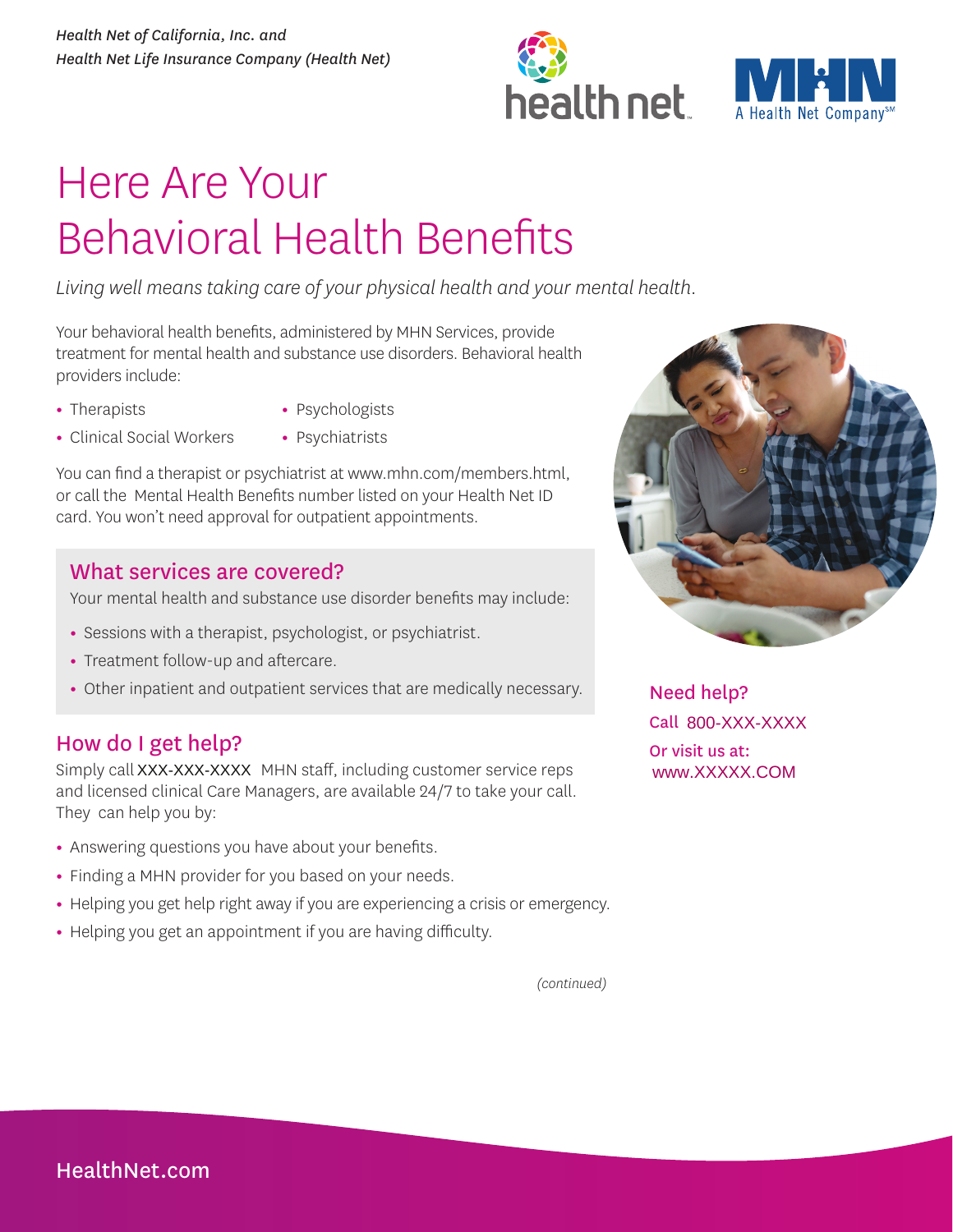



# Here Are Your Behavioral Health Benefits

*Living well means taking care of your physical health and your mental health.* 

Your behavioral health benefits, administered by MHN Services, provide treatment for mental health and substance use disorders. Behavioral health providers include:

**•** Therapists

- Psychologists
- Clinical Social Workers
- Psychiatrists

You can find a therapist or psychiatrist at www.mhn.com/members.html, or call the Mental Health Benefits number listed on your Health Net ID card. You won't need approval for outpatient appointments.

### What services are covered?

Your mental health and substance use disorder benefits may include:

- Sessions with a therapist, psychologist, or psychiatrist.
- Treatment follow-up and aftercare.
- Other inpatient and outpatient services that are medically necessary.

## How do I get help?

Simply call XXX-XXX-XXXX MHN staff, including customer service reps www.XXXXXX.COM and licensed clinical Care Managers, are available 24/7 to take your call. They can help you by:

- Answering questions you have about your benefits.
- Finding a MHN provider for you based on your needs.
- Helping you get help right away if you are experiencing a crisis or emergency.
- Helping you get an appointment if you are having difficulty.



Need help? Call 800-XXX-XXXX Or visit us at:

*(continued)*